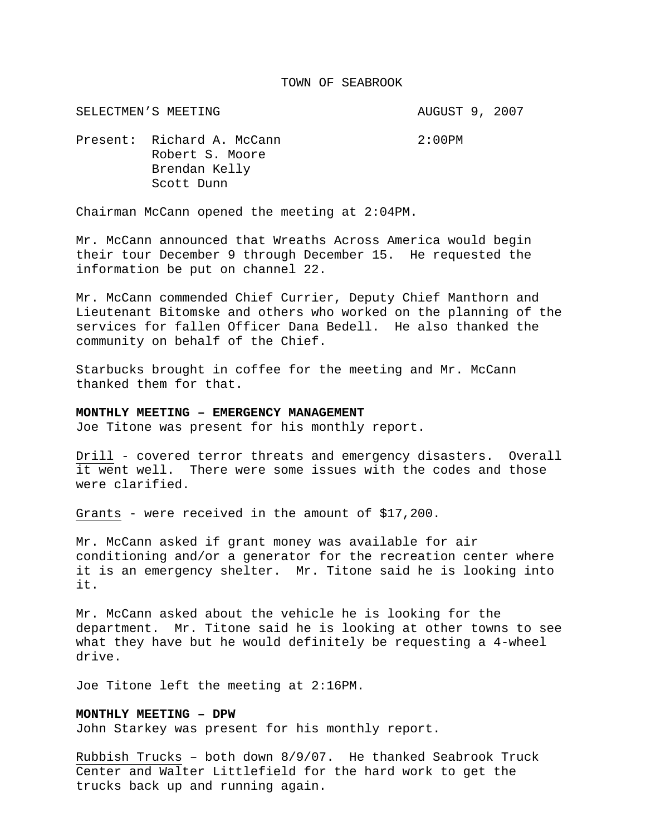### TOWN OF SEABROOK

SELECTMEN'S MEETING **AUGUST 9, 2007** 

Present: Richard A. McCann 2:00PM Robert S. Moore Brendan Kelly Scott Dunn

Chairman McCann opened the meeting at 2:04PM.

Mr. McCann announced that Wreaths Across America would begin their tour December 9 through December 15. He requested the information be put on channel 22.

Mr. McCann commended Chief Currier, Deputy Chief Manthorn and Lieutenant Bitomske and others who worked on the planning of the services for fallen Officer Dana Bedell. He also thanked the community on behalf of the Chief.

Starbucks brought in coffee for the meeting and Mr. McCann thanked them for that.

# **MONTHLY MEETING – EMERGENCY MANAGEMENT**

Joe Titone was present for his monthly report.

Drill - covered terror threats and emergency disasters. Overall it went well. There were some issues with the codes and those were clarified.

Grants - were received in the amount of \$17,200.

Mr. McCann asked if grant money was available for air conditioning and/or a generator for the recreation center where it is an emergency shelter. Mr. Titone said he is looking into it.

Mr. McCann asked about the vehicle he is looking for the department. Mr. Titone said he is looking at other towns to see what they have but he would definitely be requesting a 4-wheel drive.

Joe Titone left the meeting at 2:16PM.

## **MONTHLY MEETING – DPW**

John Starkey was present for his monthly report.

Rubbish Trucks – both down 8/9/07. He thanked Seabrook Truck Center and Walter Littlefield for the hard work to get the trucks back up and running again.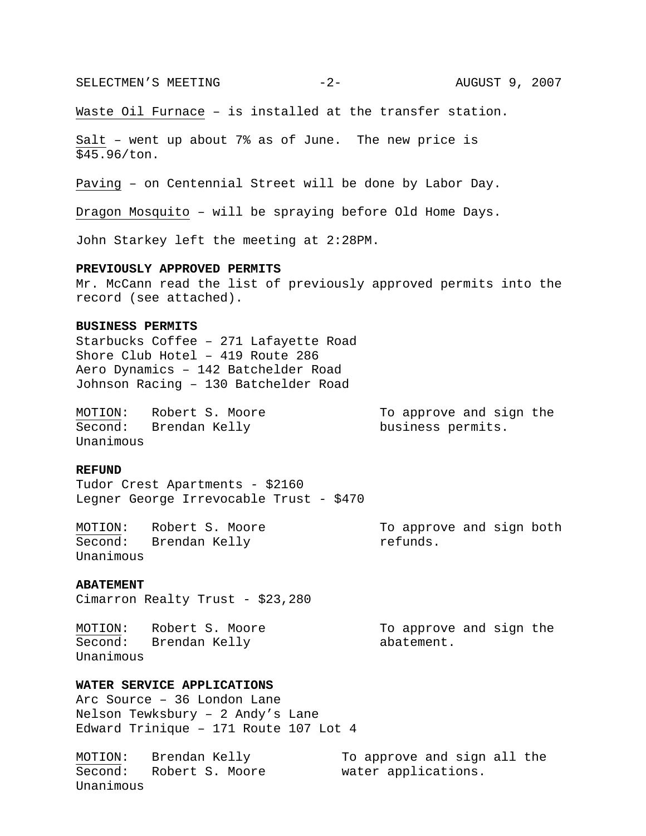SELECTMEN'S MEETING -2- AUGUST 9, 2007

Waste Oil Furnace – is installed at the transfer station.

Salt – went up about 7% as of June. The new price is \$45.96/ton.

Paving – on Centennial Street will be done by Labor Day.

Dragon Mosquito – will be spraying before Old Home Days.

John Starkey left the meeting at 2:28PM.

## **PREVIOUSLY APPROVED PERMITS**

Mr. McCann read the list of previously approved permits into the record (see attached).

### **BUSINESS PERMITS**

Starbucks Coffee – 271 Lafayette Road Shore Club Hotel – 419 Route 286 Aero Dynamics – 142 Batchelder Road Johnson Racing – 130 Batchelder Road

MOTION: Robert S. Moore To approve and sign the Second: Brendan Kelly business permits. Unanimous

# **REFUND**

Tudor Crest Apartments - \$2160 Legner George Irrevocable Trust - \$470

Second: Brendan Kelly metunds. Unanimous

MOTION: Robert S. Moore To approve and sign both

#### **ABATEMENT**

Cimarron Realty Trust - \$23,280

MOTION: Robert S. Moore To approve and sign the Second: Brendan Kelly abatement. Unanimous

# **WATER SERVICE APPLICATIONS**

Arc Source – 36 London Lane Nelson Tewksbury – 2 Andy's Lane Edward Trinique – 171 Route 107 Lot 4

MOTION: Brendan Kelly To approve and sign all the Second: Robert S. Moore water applications. Unanimous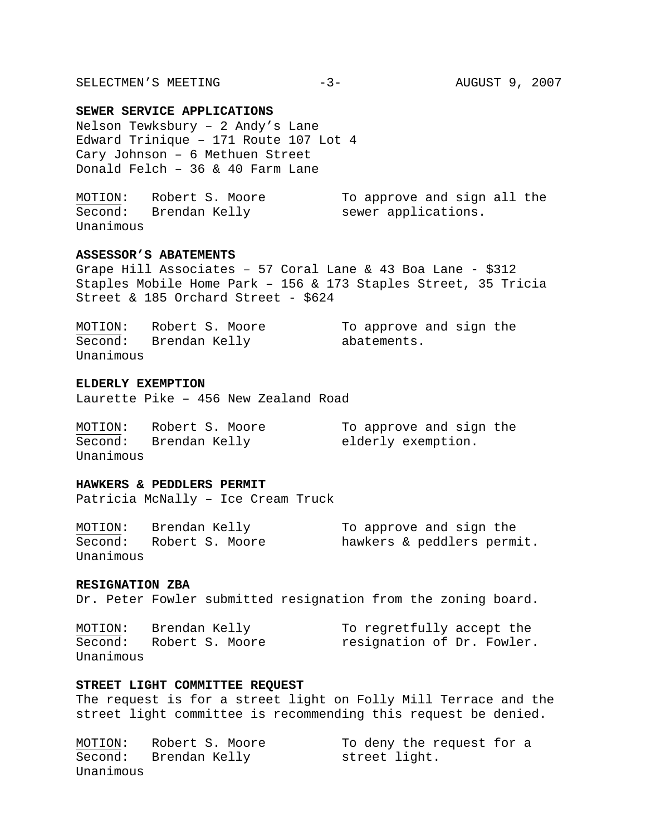SELECTMEN'S MEETING  $-3 -3-$  AUGUST 9, 2007

#### **SEWER SERVICE APPLICATIONS**

Nelson Tewksbury – 2 Andy's Lane Edward Trinique – 171 Route 107 Lot 4 Cary Johnson – 6 Methuen Street Donald Felch – 36 & 40 Farm Lane

MOTION: Robert S. Moore To approve and sign all the Second: Brendan Kelly Sewer applications. Second: Brendan Kelly Unanimous

## **ASSESSOR'S ABATEMENTS**

Grape Hill Associates – 57 Coral Lane & 43 Boa Lane - \$312 Staples Mobile Home Park – 156 & 173 Staples Street, 35 Tricia Street & 185 Orchard Street - \$624

| MOTION:   | Robert S. Moore       | To approve and sign the |
|-----------|-----------------------|-------------------------|
|           | Second: Brendan Kelly | abatements.             |
| Unanimous |                       |                         |

### **ELDERLY EXEMPTION**

Laurette Pike – 456 New Zealand Road

| MOTION:   | Robert S. Moore       | To approve and sign the |
|-----------|-----------------------|-------------------------|
|           | Second: Brendan Kelly | elderly exemption.      |
| Unanimous |                       |                         |

### **HAWKERS & PEDDLERS PERMIT**

Patricia McNally – Ice Cream Truck

| MOTION:   | Brendan Kelly   | To approve and sign the    |
|-----------|-----------------|----------------------------|
| Second:   | Robert S. Moore | hawkers & peddlers permit. |
| Unanimous |                 |                            |

#### **RESIGNATION ZBA**

Dr. Peter Fowler submitted resignation from the zoning board.

| MOTION:   | Brendan Kelly   | To regretfully accept the  |  |
|-----------|-----------------|----------------------------|--|
| Second:   | Robert S. Moore | resignation of Dr. Fowler. |  |
| Unanimous |                 |                            |  |

## **STREET LIGHT COMMITTEE REQUEST**

The request is for a street light on Folly Mill Terrace and the street light committee is recommending this request be denied.

Second: Brendan Kelly **Sulphand:** Street light. Unanimous

MOTION: Robert S. Moore To deny the request for a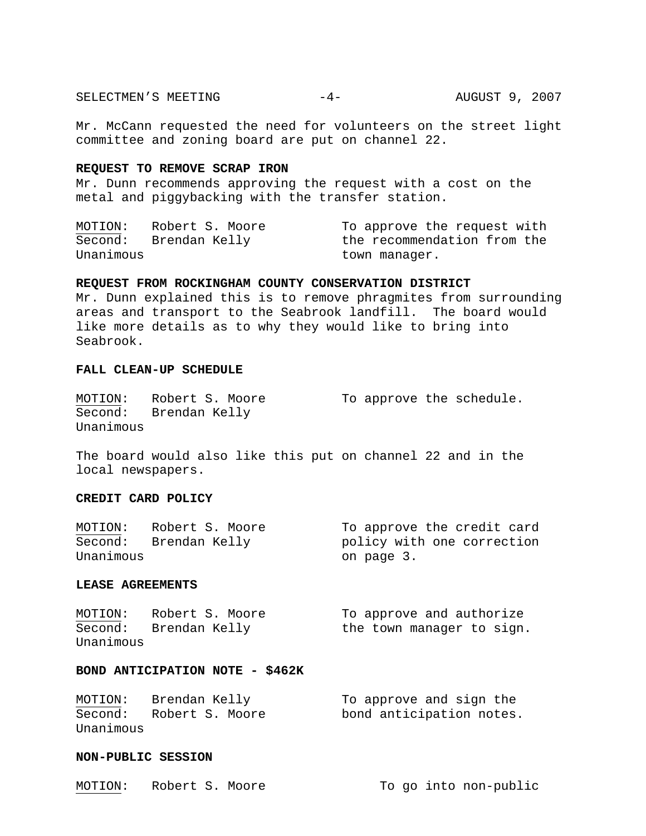SELECTMEN'S MEETING  $-4-$  AUGUST 9, 2007

Mr. McCann requested the need for volunteers on the street light committee and zoning board are put on channel 22.

# **REQUEST TO REMOVE SCRAP IRON**

Mr. Dunn recommends approving the request with a cost on the metal and piggybacking with the transfer station.

| MOTION:   | Robert S. Moore | To approve the request with |
|-----------|-----------------|-----------------------------|
| Second:   | Brendan Kelly   | the recommendation from the |
| Unanimous |                 | town manager.               |

#### **REQUEST FROM ROCKINGHAM COUNTY CONSERVATION DISTRICT**

Mr. Dunn explained this is to remove phragmites from surrounding areas and transport to the Seabrook landfill. The board would like more details as to why they would like to bring into Seabrook.

## **FALL CLEAN-UP SCHEDULE**

MOTION: Robert S. Moore To approve the schedule. Second: Brendan Kelly Unanimous

The board would also like this put on channel 22 and in the local newspapers.

### **CREDIT CARD POLICY**

| MOTION:   | Robert S. Moore       | To approve the credit card |
|-----------|-----------------------|----------------------------|
|           | Second: Brendan Kelly | policy with one correction |
| Unanimous |                       | on page 3.                 |

#### **LEASE AGREEMENTS**

| MOTION:   | Robert S. Moore       | To approve and authorize  |
|-----------|-----------------------|---------------------------|
|           | Second: Brendan Kelly | the town manager to sign. |
| Unanimous |                       |                           |

### **BOND ANTICIPATION NOTE - \$462K**

| MOTION:   | Brendan Kelly   | To approve and sign the  |
|-----------|-----------------|--------------------------|
| Second:   | Robert S. Moore | bond anticipation notes. |
| Unanimous |                 |                          |

### **NON-PUBLIC SESSION**

| MOTION: | Robert S. Moore |  |  |  | To go into non-public |
|---------|-----------------|--|--|--|-----------------------|
|---------|-----------------|--|--|--|-----------------------|